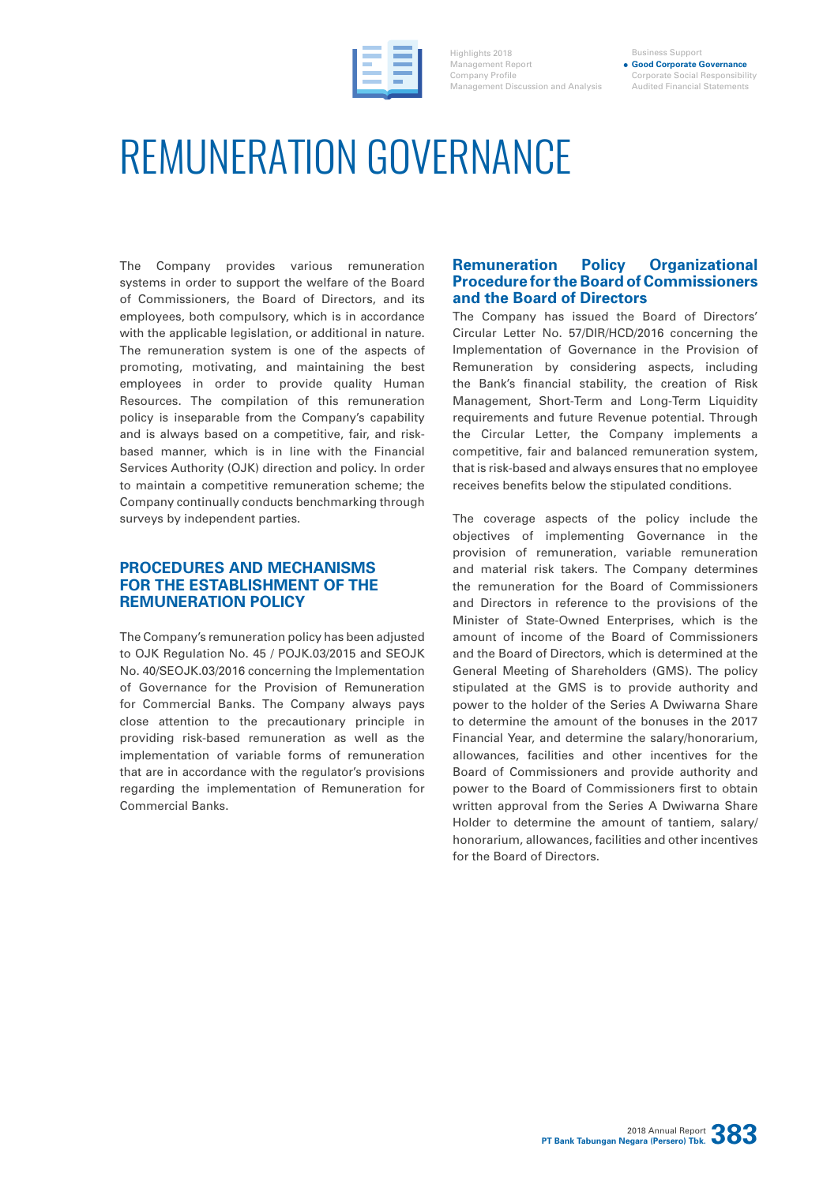

Highlights 2018 Management Report Company Profile Management Discussion and Analysis

#### Business Support **Good Corporate Governance** Corporate Social Responsibility Audited Financial Statements

# REMUNERATION GOVERNANCE

The Company provides various remuneration systems in order to support the welfare of the Board of Commissioners, the Board of Directors, and its employees, both compulsory, which is in accordance with the applicable legislation, or additional in nature. The remuneration system is one of the aspects of promoting, motivating, and maintaining the best employees in order to provide quality Human Resources. The compilation of this remuneration policy is inseparable from the Company's capability and is always based on a competitive, fair, and riskbased manner, which is in line with the Financial Services Authority (OJK) direction and policy. In order to maintain a competitive remuneration scheme; the Company continually conducts benchmarking through surveys by independent parties.

## **PROCEDURES AND MECHANISMS FOR THE ESTABLISHMENT OF THE REMUNERATION POLICY**

The Company's remuneration policy has been adjusted to OJK Regulation No. 45 / POJK.03/2015 and SEOJK No. 40/SEOJK.03/2016 concerning the Implementation of Governance for the Provision of Remuneration for Commercial Banks. The Company always pays close attention to the precautionary principle in providing risk-based remuneration as well as the implementation of variable forms of remuneration that are in accordance with the regulator's provisions regarding the implementation of Remuneration for Commercial Banks.

## **Remuneration Policy Organizational Procedure for the Board of Commissioners and the Board of Directors**

The Company has issued the Board of Directors' Circular Letter No. 57/DIR/HCD/2016 concerning the Implementation of Governance in the Provision of Remuneration by considering aspects, including the Bank's financial stability, the creation of Risk Management, Short-Term and Long-Term Liquidity requirements and future Revenue potential. Through the Circular Letter, the Company implements a competitive, fair and balanced remuneration system, that is risk-based and always ensures that no employee receives benefits below the stipulated conditions.

The coverage aspects of the policy include the objectives of implementing Governance in the provision of remuneration, variable remuneration and material risk takers. The Company determines the remuneration for the Board of Commissioners and Directors in reference to the provisions of the Minister of State-Owned Enterprises, which is the amount of income of the Board of Commissioners and the Board of Directors, which is determined at the General Meeting of Shareholders (GMS). The policy stipulated at the GMS is to provide authority and power to the holder of the Series A Dwiwarna Share to determine the amount of the bonuses in the 2017 Financial Year, and determine the salary/honorarium, allowances, facilities and other incentives for the Board of Commissioners and provide authority and power to the Board of Commissioners first to obtain written approval from the Series A Dwiwarna Share Holder to determine the amount of tantiem, salary/ honorarium, allowances, facilities and other incentives for the Board of Directors.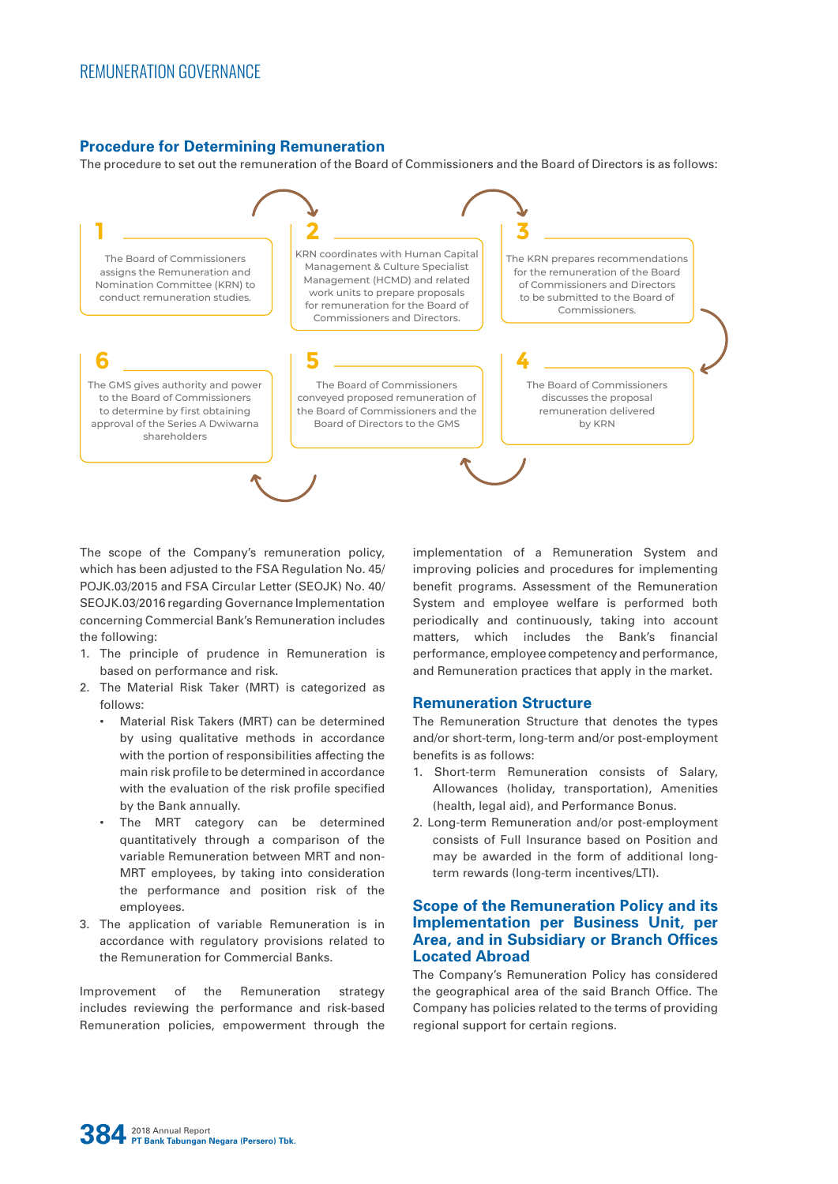## **Procedure for Determining Remuneration**

The procedure to set out the remuneration of the Board of Commissioners and the Board of Directors is as follows:



The scope of the Company's remuneration policy, which has been adjusted to the FSA Regulation No. 45/ POJK.03/2015 and FSA Circular Letter (SEOJK) No. 40/ SEOJK.03/2016 regarding Governance Implementation concerning Commercial Bank's Remuneration includes the following:

- 1. The principle of prudence in Remuneration is based on performance and risk.
- 2. The Material Risk Taker (MRT) is categorized as follows:
	- Material Risk Takers (MRT) can be determined by using qualitative methods in accordance with the portion of responsibilities affecting the main risk profile to be determined in accordance with the evaluation of the risk profile specified by the Bank annually.
	- The MRT category can be determined quantitatively through a comparison of the variable Remuneration between MRT and non-MRT employees, by taking into consideration the performance and position risk of the employees.
- 3. The application of variable Remuneration is in accordance with regulatory provisions related to the Remuneration for Commercial Banks.

Improvement of the Remuneration strategy includes reviewing the performance and risk-based Remuneration policies, empowerment through the implementation of a Remuneration System and improving policies and procedures for implementing benefit programs. Assessment of the Remuneration System and employee welfare is performed both periodically and continuously, taking into account matters, which includes the Bank's financial performance, employee competency and performance, and Remuneration practices that apply in the market.

## **Remuneration Structure**

The Remuneration Structure that denotes the types and/or short-term, long-term and/or post-employment benefits is as follows:

- 1. Short-term Remuneration consists of Salary, Allowances (holiday, transportation), Amenities (health, legal aid), and Performance Bonus.
- 2. Long-term Remuneration and/or post-employment consists of Full Insurance based on Position and may be awarded in the form of additional longterm rewards (long-term incentives/LTI).

## **Scope of the Remuneration Policy and its Implementation per Business Unit, per Area, and in Subsidiary or Branch Offices Located Abroad**

The Company's Remuneration Policy has considered the geographical area of the said Branch Office. The Company has policies related to the terms of providing regional support for certain regions.

**384** 2018 Annual Report **PT Bank Tabungan Negara (Persero) Tbk.**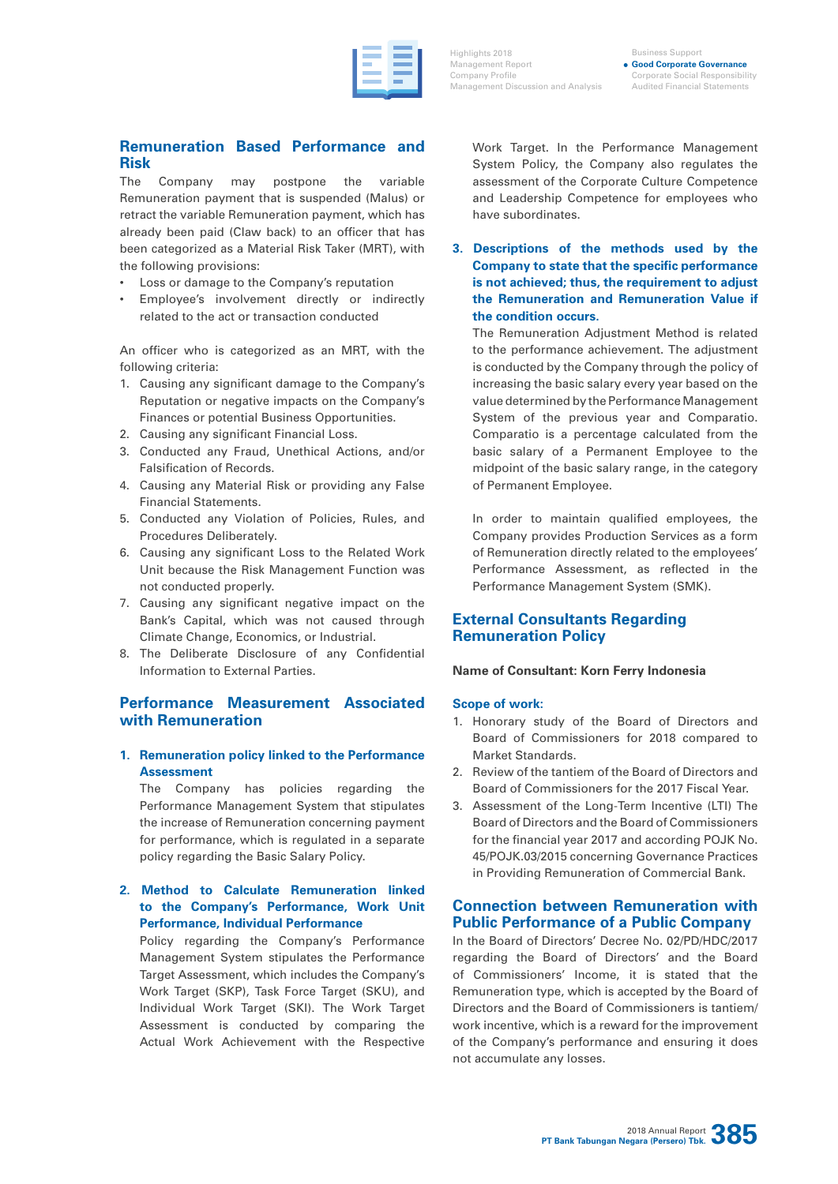Highlights 2018 Management Report Company Profile Management Discussion and Analysis

Business Support **Good Corporate Governance** Corporate Social Responsibility Audited Financial Statements

## **Remuneration Based Performance and Risk**

The Company may postpone the variable Remuneration payment that is suspended (Malus) or retract the variable Remuneration payment, which has already been paid (Claw back) to an officer that has been categorized as a Material Risk Taker (MRT), with the following provisions:

- Loss or damage to the Company's reputation
- Employee's involvement directly or indirectly related to the act or transaction conducted

An officer who is categorized as an MRT, with the following criteria:

- 1. Causing any significant damage to the Company's Reputation or negative impacts on the Company's Finances or potential Business Opportunities.
- 2. Causing any significant Financial Loss.
- 3. Conducted any Fraud, Unethical Actions, and/or Falsification of Records.
- 4. Causing any Material Risk or providing any False Financial Statements.
- 5. Conducted any Violation of Policies, Rules, and Procedures Deliberately.
- 6. Causing any significant Loss to the Related Work Unit because the Risk Management Function was not conducted properly.
- 7. Causing any significant negative impact on the Bank's Capital, which was not caused through Climate Change, Economics, or Industrial.
- 8. The Deliberate Disclosure of any Confidential Information to External Parties.

## **Performance Measurement Associated with Remuneration**

## **1. Remuneration policy linked to the Performance Assessment**

The Company has policies regarding the Performance Management System that stipulates the increase of Remuneration concerning payment for performance, which is regulated in a separate policy regarding the Basic Salary Policy.

## **2. Method to Calculate Remuneration linked to the Company's Performance, Work Unit Performance, Individual Performance**

Policy regarding the Company's Performance Management System stipulates the Performance Target Assessment, which includes the Company's Work Target (SKP), Task Force Target (SKU), and Individual Work Target (SKI). The Work Target Assessment is conducted by comparing the Actual Work Achievement with the Respective

Work Target. In the Performance Management System Policy, the Company also regulates the assessment of the Corporate Culture Competence and Leadership Competence for employees who have subordinates.

**3. Descriptions of the methods used by the Company to state that the specific performance is not achieved; thus, the requirement to adjust the Remuneration and Remuneration Value if the condition occurs.**

The Remuneration Adjustment Method is related to the performance achievement. The adjustment is conducted by the Company through the policy of increasing the basic salary every year based on the value determined by the Performance Management System of the previous year and Comparatio. Comparatio is a percentage calculated from the basic salary of a Permanent Employee to the midpoint of the basic salary range, in the category of Permanent Employee.

In order to maintain qualified employees, the Company provides Production Services as a form of Remuneration directly related to the employees' Performance Assessment, as reflected in the Performance Management System (SMK).

## **External Consultants Regarding Remuneration Policy**

## **Name of Consultant: Korn Ferry Indonesia**

### **Scope of work:**

- 1. Honorary study of the Board of Directors and Board of Commissioners for 2018 compared to Market Standards.
- 2. Review of the tantiem of the Board of Directors and Board of Commissioners for the 2017 Fiscal Year.
- 3. Assessment of the Long-Term Incentive (LTI) The Board of Directors and the Board of Commissioners for the financial year 2017 and according POJK No. 45/POJK.03/2015 concerning Governance Practices in Providing Remuneration of Commercial Bank.

## **Connection between Remuneration with Public Performance of a Public Company**

In the Board of Directors' Decree No. 02/PD/HDC/2017 regarding the Board of Directors' and the Board of Commissioners' Income, it is stated that the Remuneration type, which is accepted by the Board of Directors and the Board of Commissioners is tantiem/ work incentive, which is a reward for the improvement of the Company's performance and ensuring it does not accumulate any losses.

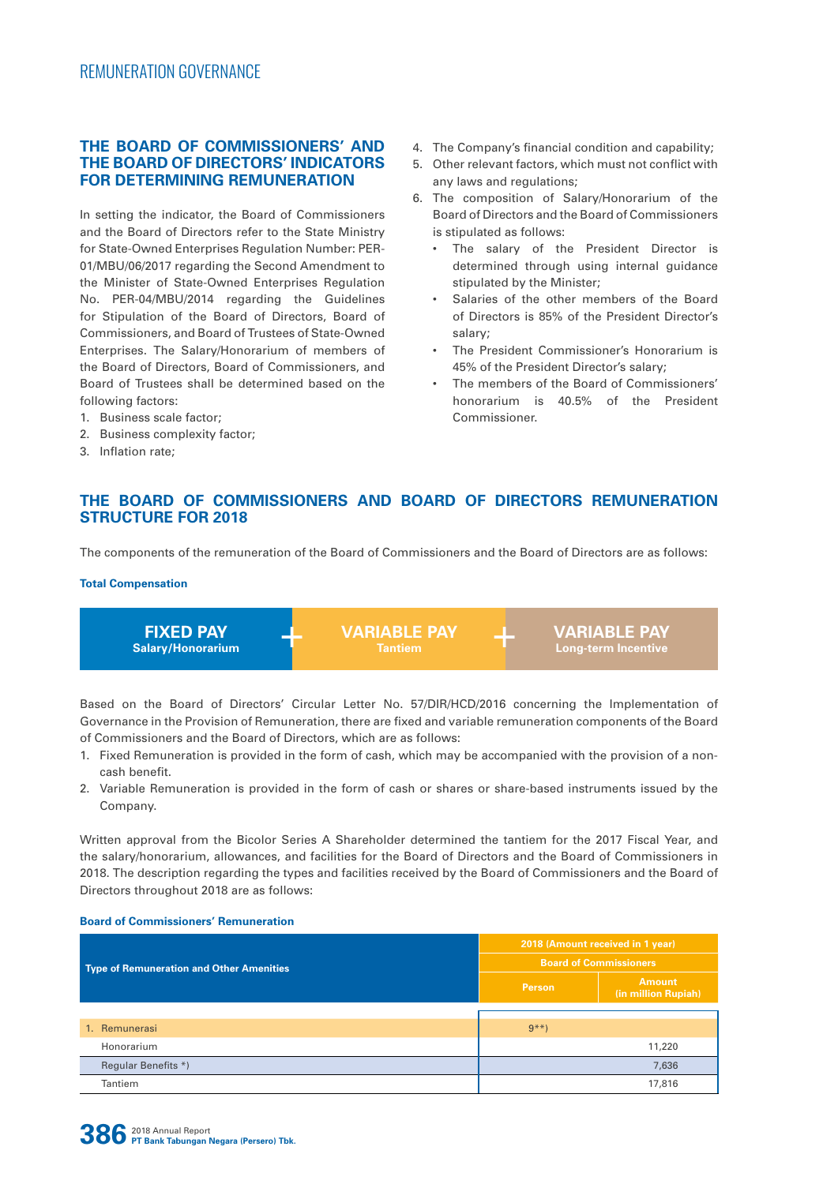## **THE BOARD OF COMMISSIONERS' AND THE BOARD OF DIRECTORS' INDICATORS FOR DETERMINING REMUNERATION**

In setting the indicator, the Board of Commissioners and the Board of Directors refer to the State Ministry for State-Owned Enterprises Regulation Number: PER-01/MBU/06/2017 regarding the Second Amendment to the Minister of State-Owned Enterprises Regulation No. PER-04/MBU/2014 regarding the Guidelines for Stipulation of the Board of Directors, Board of Commissioners, and Board of Trustees of State-Owned Enterprises. The Salary/Honorarium of members of the Board of Directors, Board of Commissioners, and Board of Trustees shall be determined based on the following factors:

- 1. Business scale factor;
- 2. Business complexity factor;
- 3. Inflation rate;
- 4. The Company's financial condition and capability;
- 5. Other relevant factors, which must not conflict with any laws and regulations;
- 6. The composition of Salary/Honorarium of the Board of Directors and the Board of Commissioners is stipulated as follows:
	- The salary of the President Director is determined through using internal guidance stipulated by the Minister;
	- Salaries of the other members of the Board of Directors is 85% of the President Director's salary;
	- The President Commissioner's Honorarium is 45% of the President Director's salary;
	- The members of the Board of Commissioners' honorarium is 40.5% of the President Commissioner.

## **THE BOARD OF COMMISSIONERS AND BOARD OF DIRECTORS REMUNERATION STRUCTURE FOR 2018**

The components of the remuneration of the Board of Commissioners and the Board of Directors are as follows:

#### **Total Compensation**

**FIXED PAY Salary/Honorarium** + **VARIABLE PAY Tantiem** + **VARIABLE PAY Long-term Incentive**

Based on the Board of Directors' Circular Letter No. 57/DIR/HCD/2016 concerning the Implementation of Governance in the Provision of Remuneration, there are fixed and variable remuneration components of the Board of Commissioners and the Board of Directors, which are as follows:

- 1. Fixed Remuneration is provided in the form of cash, which may be accompanied with the provision of a noncash benefit.
- 2. Variable Remuneration is provided in the form of cash or shares or share-based instruments issued by the Company.

Written approval from the Bicolor Series A Shareholder determined the tantiem for the 2017 Fiscal Year, and the salary/honorarium, allowances, and facilities for the Board of Directors and the Board of Commissioners in 2018. The description regarding the types and facilities received by the Board of Commissioners and the Board of Directors throughout 2018 are as follows:

### **Board of Commissioners' Remuneration**

|                                                 | 2018 (Amount received in 1 year) |                                      |  |
|-------------------------------------------------|----------------------------------|--------------------------------------|--|
| <b>Type of Remuneration and Other Amenities</b> | <b>Board of Commissioners</b>    |                                      |  |
|                                                 | <b>Person</b>                    | <b>Amount</b><br>(in million Rupiah) |  |
|                                                 |                                  |                                      |  |
| 1. Remunerasi                                   | $9***$                           |                                      |  |
| Honorarium                                      |                                  | 11,220                               |  |
| Regular Benefits *)                             |                                  | 7,636                                |  |
| Tantiem                                         |                                  | 17,816                               |  |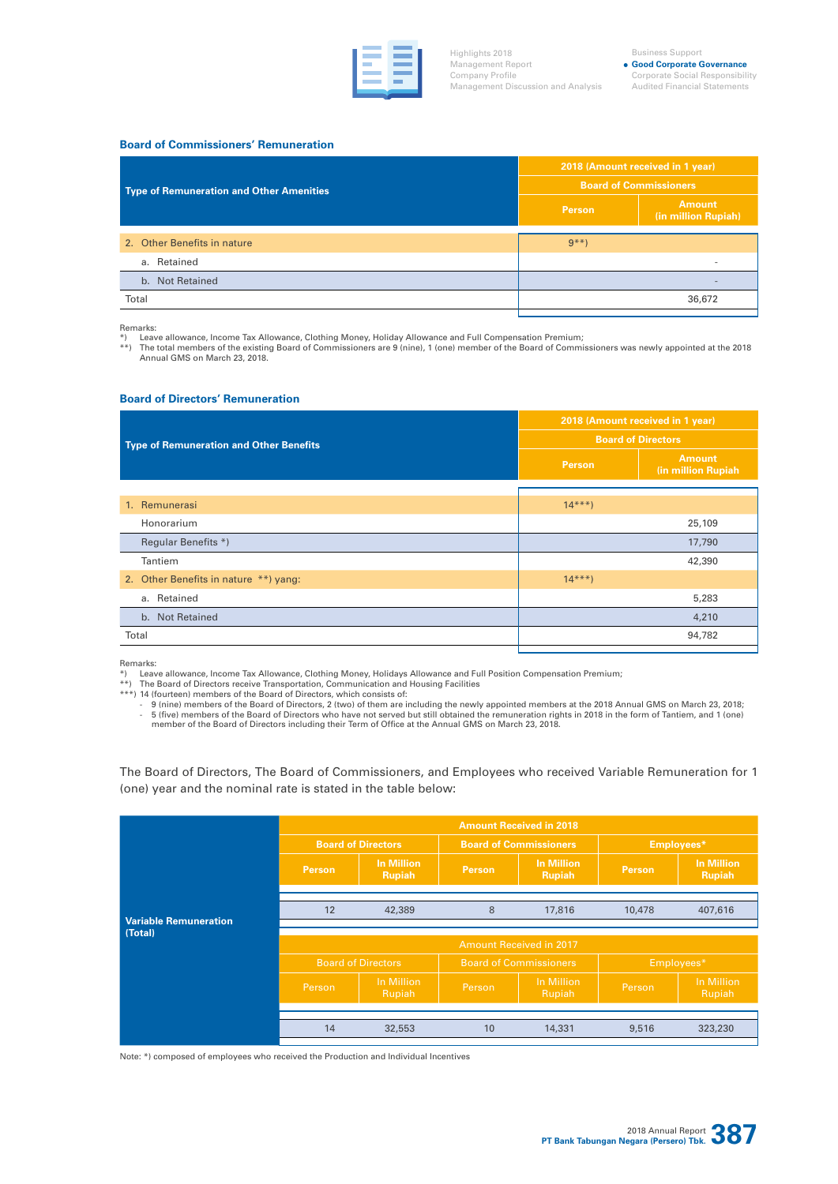

Highlights 2018 Management Report Company Profile Management Discussion and Analysis

#### Business Support

**Good Corporate Governance** Corporate Social Responsibility Audited Financial Statements

#### **Board of Commissioners' Remuneration**

|                                          | 2018 (Amount received in 1 year) |                                      |  |
|------------------------------------------|----------------------------------|--------------------------------------|--|
| Type of Remuneration and Other Amenities | <b>Board of Commissioners</b>    |                                      |  |
|                                          | <b>Person</b>                    | <b>Amount</b><br>(in million Rupiah) |  |
| 2. Other Benefits in nature              | $9***$                           |                                      |  |
| a. Retained                              |                                  | $\overline{\phantom{a}}$             |  |
| b. Not Retained                          |                                  |                                      |  |
| Total                                    |                                  | 36,672                               |  |

Remarks:

\*) Leave allowance, Income Tax Allowance, Clothing Money, Holiday Allowance and Full Compensation Premium;<br>\*\*) The total members of the existing Board of Commissioners are 9 (nine), 1 (one) member of the Board of Commissio Annual GMS on March 23, 2018.

#### **Board of Directors' Remuneration**

|                                                | 2018 (Amount received in 1 year) |                                     |  |
|------------------------------------------------|----------------------------------|-------------------------------------|--|
| <b>Type of Remuneration and Other Benefits</b> | <b>Board of Directors</b>        |                                     |  |
|                                                | <b>Person</b>                    | <b>Amount</b><br>(in million Rupiah |  |
|                                                |                                  |                                     |  |
| 1. Remunerasi                                  | $14***$                          |                                     |  |
| Honorarium                                     |                                  | 25,109                              |  |
| Regular Benefits *)                            |                                  | 17,790                              |  |
| Tantiem                                        |                                  | 42,390                              |  |
| 2. Other Benefits in nature **) yang:          | $14***$                          |                                     |  |
| a. Retained                                    |                                  | 5,283                               |  |
| b. Not Retained                                |                                  | 4,210                               |  |
| Total                                          |                                  | 94,782                              |  |

Remarks:<br>\*) Leav<br>\*\*) The Leave allowance, Income Tax Allowance, Clothing Money, Holidays Allowance and Full Position Compensation Premium;

\*\*) The Board of Directors receive Transportation, Communication and Housing Facilities \*\*\*) 14 (fourteen) members of the Board of Directors, which consists of:

- 9 (nine) members of the Board of Directors, 2 (two) of them are including the newly appointed members at the 2018 Annual GMS on March 23, 2018;<br>- 5 (five) members of the Board of Directors who have not served but still o member of the Board of Directors including their Term of Office at the Annual GMS on March 23, 2018.

The Board of Directors, The Board of Commissioners, and Employees who received Variable Remuneration for 1 (one) year and the nominal rate is stated in the table below:

|                              | <b>Amount Received in 2018</b> |                                    |                               |                                    |            |                                    |
|------------------------------|--------------------------------|------------------------------------|-------------------------------|------------------------------------|------------|------------------------------------|
|                              |                                | <b>Board of Directors</b>          | <b>Board of Commissioners</b> |                                    | Employees* |                                    |
|                              | Person.                        | <b>In Million</b><br><b>Rupiah</b> | Person.                       | <b>In Million</b><br><b>Rupiah</b> | Person     | <b>In Million</b><br><b>Rupiah</b> |
| <b>Variable Remuneration</b> | 12                             | 42,389                             | 8                             | 17,816                             | 10,478     | 407,616                            |
| (Total)                      | <b>Amount Received in 2017</b> |                                    |                               |                                    |            |                                    |
|                              | <b>Board of Directors</b>      |                                    | <b>Board of Commissioners</b> |                                    | Employees* |                                    |
|                              | Person                         | In Million<br>Rupiah               | Person                        | In Million<br>Rupiah               | Person     | In Million<br>Rupiah               |
|                              |                                |                                    |                               |                                    |            |                                    |
|                              | 14                             | 32,553                             | 10                            | 14,331                             | 9,516      | 323,230                            |

Note: \*) composed of employees who received the Production and Individual Incentives